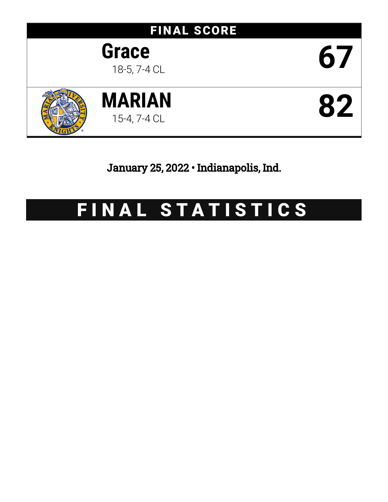

January 25, 2022 • Indianapolis, Ind.

# FINAL STATISTICS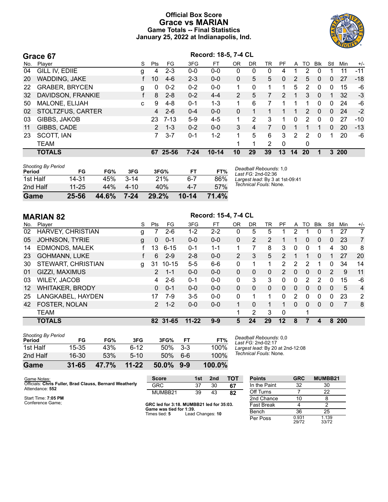### **Official Box Score Grace vs MARIAN Game Totals -- Final Statistics January 25, 2022 at Indianapolis, Ind.**



**Grace 67 Record: 18-5, 7-4 CL**

|     | וט סטופ               |   |                |          |          |           |          |    |    |    |          |           |            |     |      |       |
|-----|-----------------------|---|----------------|----------|----------|-----------|----------|----|----|----|----------|-----------|------------|-----|------|-------|
| No. | Plaver                | S | Pts            | FG.      | 3FG      | FT        | OR       | DR | TR | PF | A        | TO        | <b>BIK</b> | Stl | Min  | $+/-$ |
| 04  | GILL IV, EDIIE        | g | 4              | $2 - 3$  | $0-0$    | $0 - 0$   | 0        | 0  | 0  | 4  |          | 2         | 0          |     | 11   | -11   |
| 20  | <b>WADDING, JAKE</b>  |   | 10             | $4-6$    | $2 - 3$  | $0 - 0$   | $\Omega$ | 5  | 5  | 0  | 2        | 5.        | $\Omega$   | 0   | 27   | $-18$ |
| 22  | <b>GRABER, BRYCEN</b> | g | 0              | $0 - 2$  | $0 - 2$  | $0 - 0$   |          | 0  |    |    | 5        | 2         | 0          | 0   | 15   | -6    |
| 32  | DAVIDSON, FRANKIE     |   | 8              | $2 - 8$  | $0 - 2$  | $4 - 4$   | 2        | 5  |    | 2  |          | 3         | $\Omega$   |     | 32   | $-3$  |
| 50  | MALONE, ELIJAH        | C | 9              | $4-8$    | $0 - 1$  | $1 - 3$   |          | 6  |    |    |          |           | 0          | 0   | 24   | -6    |
| 02  | STOLTZFUS, CARTER     |   | 4              | $2-6$    | $0 - 4$  | $0 - 0$   | 0        |    |    |    |          | 2         | $\Omega$   | 0   | 24   | $-2$  |
| 03  | GIBBS, JAKOB          |   | 23             | 7-13     | $5-9$    | $4 - 5$   |          | 2  | 3  |    | $\Omega$ | 2         | 0          | 0   | 27   | $-10$ |
| 11  | GIBBS, CADE           |   | $\overline{2}$ | $1 - 3$  | $0 - 2$  | $0 - 0$   | 3        | 4  |    | 0  |          |           |            | 0   | 20   | $-13$ |
| 23  | SCOTT, IAN            |   | 7.             | $3 - 7$  | $0 - 1$  | $1 - 2$   |          | 5  | 6  | 3  | 2        | 2         | 0          |     | 20   | -6    |
|     | <b>TEAM</b>           |   |                |          |          |           |          | 1  | 2  | 0  |          | 0         |            |     |      |       |
|     | <b>TOTALS</b>         |   |                | 67 25-56 | $7 - 24$ | $10 - 14$ | 10       | 29 | 39 | 13 | 14       | <b>20</b> |            |     | 3200 |       |
|     |                       |   |                |          |          |           |          |    |    |    |          |           |            |     |      |       |

| <b>Shooting By Period</b><br>Period | FG        | FG%          | 3FG    | 3FG%  | FТ        | FT%   |
|-------------------------------------|-----------|--------------|--------|-------|-----------|-------|
| 1st Half                            | 14-31     | 45%          | $3-14$ | 21%   | 6-7       | 86%   |
| 2nd Half                            | $11 - 25$ | 44%          | 4-10   | 40%   | 4-7       | 57%   |
| Game                                | 25-56     | <b>44.6%</b> | 7-24   | 29.2% | $10 - 14$ | 71.4% |

*Deadball Rebounds:* 1,0 *Last FG:* 2nd-02:36 *Largest lead:* By 3 at 1st-09:41 *Technical Fouls:* None.

|                   | <b>MARIAN 82</b>         | Record: 15-4, 7-4 CL |                |           |           |         |                |              |          |                |              |              |            |              |                |                |
|-------------------|--------------------------|----------------------|----------------|-----------|-----------|---------|----------------|--------------|----------|----------------|--------------|--------------|------------|--------------|----------------|----------------|
| No.               | Plaver                   | S                    | <b>Pts</b>     | FG.       | 3FG       | FT      | <b>OR</b>      | <b>DR</b>    | TR       | PF             | A            | TO           | <b>BIK</b> | Stl          | Min            | $+/-$          |
| 02                | <b>HARVEY, CHRISTIAN</b> | g                    |                | $2 - 6$   | $1 - 2$   | $2 - 2$ | 0              | 5            | 5        | 1              | 2            |              | 0          | 1            | 27             | 7              |
| 05                | <b>JOHNSON, TYRIE</b>    | g                    | $\mathbf{0}$   | $0 - 1$   | $0 - 0$   | $0 - 0$ | $\Omega$       | 2            | 2        |                |              | 0            | $\Omega$   | $\mathbf{0}$ | 23             | $\overline{7}$ |
| 14                | EDMONDS, MALEK           |                      | 13             | $6 - 15$  | $0 - 1$   | $1 - 1$ | $\mathbf{1}$   | 7            | 8        | 3              | $\mathbf{0}$ | 0            | 1          | 4            | 30             | 8              |
| 23                | <b>GOHMANN, LUKE</b>     |                      | 6              | $2 - 9$   | $2 - 8$   | $0 - 0$ | $\overline{2}$ | 3            | 5        | $\mathcal{P}$  | 1            | 1            | $\Omega$   | 1            | 27             | 20             |
| 30                | STEWART, CHRISTIAN       | g                    | 31             | $10 - 15$ | $5 - 5$   | $6-6$   | 0              | 1            | 1        | $\overline{2}$ | 2            | 2            |            | 0            | 34             | 14             |
| 01                | GIZZI, MAXIMUS           |                      | $\overline{2}$ | $1 - 1$   | $0 - 0$   | $0 - 0$ | 0              | $\mathbf{0}$ | 0        | $\overline{2}$ | 0            | $\mathbf{0}$ | $\Omega$   | 2            | 9              | 11             |
| 03                | <b>WILEY, JACOB</b>      |                      | 4              | $2-6$     | $0 - 1$   | $0-0$   | 0              | 3            | 3        | 0              | 0            | 2            | 2          | 0            | 15             | -6             |
| $12 \overline{ }$ | <b>WHITAKER, BRODY</b>   |                      | $\Omega$       | $0 - 1$   | $0 - 0$   | $0 - 0$ | $\Omega$       | $\Omega$     | $\Omega$ | $\Omega$       | $\Omega$     | $\Omega$     | $\Omega$   | $\mathbf{0}$ | 5              | $\overline{4}$ |
| 25                | LANGKABEL, HAYDEN        |                      | 17             | 7-9       | $3-5$     | $0 - 0$ | 0              | 1            | 1        | $\Omega$       | 2            | 0            | $\Omega$   | $\Omega$     | 23             | $\overline{2}$ |
| 42                | FOSTER, NOLAN            |                      | $\overline{2}$ | $1 - 2$   | $0 - 0$   | $0 - 0$ |                | $\Omega$     | 1        |                | $\Omega$     | $\Omega$     | $\Omega$   | $\mathbf{0}$ | $\overline{7}$ | 8              |
|                   | <b>TEAM</b>              |                      |                |           |           |         | 1              | 2            | 3        | $\Omega$       |              | 1            |            |              |                |                |
|                   | <b>TOTALS</b>            |                      |                | 82 31-65  | $11 - 22$ | $9 - 9$ | 5              | 24           | 29       | $12 \,$        | 8            | 7            | 4          |              | 8 200          |                |
|                   |                          |                      |                |           |           |         |                |              |          |                |              |              |            |              |                |                |

| Game                                | $31 - 65$ | 47.7% | $11 - 22$ | 50.0% | $9-9$ | 100.0% |
|-------------------------------------|-----------|-------|-----------|-------|-------|--------|
| 2nd Half                            | $16 - 30$ | 53%   | $5-10$    | 50%   | 6-6   | 100%   |
| 1st Half                            | $15 - 35$ | 43%   | հ-12      | 50%   | $3-3$ | 100%   |
| <b>Shooting By Period</b><br>Period | FG        | FG%   | 3FG       | 3FG%  | FT    | FT%    |

*Deadball Rebounds:* 0,0 *Last FG:* 2nd-02:17 *Largest lead:* By 20 at 2nd-12:08 *Technical Fouls:* None.

| Game Notes:                                                                | <b>Score</b> | 1st | 2nd | ΤΩΤ | <b>Points</b> |
|----------------------------------------------------------------------------|--------------|-----|-----|-----|---------------|
| Officials: Chris Fuller, Brad Clauss, Bernard Weatherly<br>Attendance: 552 | GRC          |     | 30  | 67  | In the Paint  |
|                                                                            | MUMBB21      | 39  | 43  | 82  | Off Turns     |

Start Time: **7:05 PM** Conference Game;

**GRC led for 3:18. MUMBB21 led for 35:03. Game was tied for 1:39.** Times tied: **5** Lead Changes: **10**

| <b>Points</b> | <b>GRC</b>     | MUMBB21        |  |
|---------------|----------------|----------------|--|
| In the Paint  | 32             | 30             |  |
| Off Turns     | 7              | 22             |  |
| 2nd Chance    | 10             | 8              |  |
| Fast Break    | 4              | 2              |  |
| Bench         | 36             | 25             |  |
| Per Poss      | 0.931<br>29/72 | 1.139<br>33/72 |  |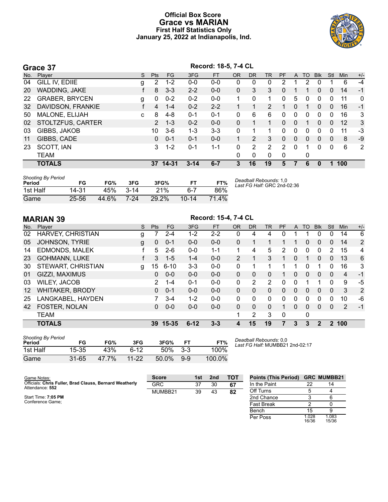#### **Official Box Score Grace vs MARIAN First Half Statistics Only January 25, 2022 at Indianapolis, Ind.**



|     | Grace 37              | Record: 18-5, 7-4 CL |                       |         |          |           |           |                |                |           |              |          |            |              |            |       |
|-----|-----------------------|----------------------|-----------------------|---------|----------|-----------|-----------|----------------|----------------|-----------|--------------|----------|------------|--------------|------------|-------|
| No. | Player                | S.                   | <b>Pts</b>            | FG.     | 3FG      | <b>FT</b> | <b>OR</b> | <b>DR</b>      | <b>TR</b>      | <b>PF</b> | $\mathsf{A}$ | TO.      | <b>Blk</b> | Stl          | <b>Min</b> | $+/-$ |
| 04  | GILL IV, EDIIE        | g                    | $\mathbf{2}^{\prime}$ | $1 - 2$ | $0 - 0$  | $0-0$     | 0         | 0              | 0              | 2         |              |          | 0          |              | 6          | $-4$  |
| 20  | WADDING, JAKE         |                      | 8                     | $3 - 3$ | $2 - 2$  | $0 - 0$   | 0         | 3              | 3              | 0         |              |          | 0          | $\mathbf{0}$ | 14         | $-1$  |
| 22  | <b>GRABER, BRYCEN</b> | g                    | 0                     | $0 - 2$ | $0 - 2$  | $0 - 0$   | 1         | 0              | 1.             | 0         | 5            | 0        | $\Omega$   | 0            | 11         | 0     |
| 32  | DAVIDSON, FRANKIE     |                      | 4                     | $1 - 4$ | $0 - 2$  | $2 - 2$   |           |                | $\overline{2}$ |           | $\Omega$     | 1        | $\Omega$   | $\Omega$     | 16         | $-1$  |
| 50  | MALONE, ELIJAH        | c                    | 8                     | $4 - 8$ | $0 - 1$  | $0 - 1$   | 0         | 6              | 6              | 0         | $\mathbf{0}$ | 0        | $\Omega$   | $\Omega$     | 16         | 3     |
| 02  | STOLTZFUS, CARTER     |                      | $\overline{2}$        | $1 - 3$ | $0 - 2$  | $0 - 0$   | 0         |                | 1              | 0         | $\Omega$     | 1        | $\Omega$   | $\Omega$     | 12         | 3     |
| 03  | GIBBS, JAKOB          |                      | 10                    | $3-6$   | $1 - 3$  | $3 - 3$   | $\Omega$  |                | 1.             | 0         | $\Omega$     | 0        | $\Omega$   | 0            | 11         | $-3$  |
| 11  | GIBBS, CADE           |                      | 0                     | $0 - 1$ | $0 - 1$  | $0 - 0$   |           | 2              | 3              | 0         | $\Omega$     | $\Omega$ | $\Omega$   | 0            | 8          | $-9$  |
| 23  | SCOTT, IAN            |                      | 3                     | $1 - 2$ | $0 - 1$  | $1 - 1$   | 0         | $\overline{2}$ | $\overline{2}$ | 2         | $\mathbf{0}$ |          | 0          | $\mathbf 0$  | 6          | 2     |
|     | <b>TEAM</b>           |                      |                       |         |          |           | 0         | 0              | $\mathbf{0}$   | 0         |              | 0        |            |              |            |       |
|     | <b>TOTALS</b>         |                      | 37                    | 14-31   | $3 - 14$ | $6 - 7$   | 3         | 16             | 19             | 5         |              | 6        | $\Omega$   |              | 100        |       |

| <b>Shooting By Period</b><br>Period | FG        | FG%   | 3FG      | 3FG%  |           | FT%         | Deadball Rebounds: 1,0<br>Last FG Half: GRC 2nd-02:36 |
|-------------------------------------|-----------|-------|----------|-------|-----------|-------------|-------------------------------------------------------|
| 1st Half                            | 14-31     | 45%   | $3 - 14$ | 21%   | հ-7       | 86%         |                                                       |
| Game                                | $25 - 56$ | 44.6% | 7-24     | 29.2% | $10 - 14$ | $4\%$<br>71 |                                                       |

|         | <b>MARIAN 39</b>       | Record: 15-4, 7-4 CL |              |          |          |           |                |              |           |                |              |    |              |              |       |                |
|---------|------------------------|----------------------|--------------|----------|----------|-----------|----------------|--------------|-----------|----------------|--------------|----|--------------|--------------|-------|----------------|
| No.     | Player                 | S                    | <b>Pts</b>   | FG.      | 3FG      | <b>FT</b> | <b>OR</b>      | <b>DR</b>    | <b>TR</b> | PF             | A            | TO | <b>BIK</b>   | Stl          | Min   | $+/-$          |
| 02      | HARVEY, CHRISTIAN      | g                    |              | $2 - 4$  | $1-2$    | $2 - 2$   | 0              | 4            | 4         | 0              |              |    | 0            | 0            | 14    | 6              |
| 05      | <b>JOHNSON, TYRIE</b>  | g                    | $\mathbf{0}$ | $0 - 1$  | $0 - 0$  | $0 - 0$   | $\mathbf{0}$   | 1            |           |                | 1            | 0  | $\mathbf{0}$ | $\Omega$     | 14    | $\overline{2}$ |
| 14      | <b>EDMONDS, MALEK</b>  |                      | 5            | $2-6$    | $0 - 0$  | $1 - 1$   | 1              | 4            | 5         | $\overline{2}$ | 0            | 0  | $\mathbf{0}$ | 2            | 15    | 4              |
| 23      | <b>GOHMANN, LUKE</b>   | f                    | 3            | $1 - 5$  | $1 - 4$  | $0 - 0$   | $\overline{2}$ | $\mathbf{1}$ | 3         | 1              | $\Omega$     | 1  | $\mathbf{0}$ | $\Omega$     | 13    | 6              |
| 30      | STEWART, CHRISTIAN     | g                    | 15           | $6 - 10$ | $3 - 3$  | $0-0$     | $\mathbf{0}$   |              |           |                |              | 0  |              | $\Omega$     | 16    | 3              |
| 01      | GIZZI, MAXIMUS         |                      | $\Omega$     | $0 - 0$  | $0 - 0$  | $0 - 0$   | $\Omega$       | 0            | $\Omega$  |                | 0            | 0  | $\Omega$     | $\Omega$     | 4     | $-1$           |
| 03      | <b>WILEY, JACOB</b>    |                      | 2            | $1 - 4$  | $0 - 1$  | $0 - 0$   | 0              | 2            | 2         | $\Omega$       | 0            |    |              | $\Omega$     | 9     | -5             |
| $12 \,$ | <b>WHITAKER, BRODY</b> |                      | 0            | $0 - 1$  | $0 - 0$  | $0 - 0$   | $\Omega$       | 0            | $\Omega$  | $\Omega$       | $\mathbf{0}$ | 0  | $\mathbf{0}$ | $\mathbf{0}$ | 3     | 2              |
| 25      | LANGKABEL, HAYDEN      |                      | 7            | $3 - 4$  | $1 - 2$  | $0 - 0$   | $\Omega$       | 0            | $\Omega$  | $\Omega$       | $\Omega$     | 0  | $\Omega$     | $\Omega$     | 10    | -6             |
| 42      | <b>FOSTER, NOLAN</b>   |                      | 0            | $0 - 0$  | $0 - 0$  | $0 - 0$   | $\Omega$       | 0            | $\Omega$  |                | $\Omega$     | 0  | $\Omega$     | $\mathbf{0}$ | 2     | $-1$           |
|         | <b>TEAM</b>            |                      |              |          |          |           | 1              | 2            | 3         | $\Omega$       |              | 0  |              |              |       |                |
|         | <b>TOTALS</b>          |                      | 39           | 15-35    | $6 - 12$ | $3 - 3$   | 4              | 15           | 19        | $\mathbf{7}$   | 3            | 3  | $\mathbf{p}$ |              | 2 100 |                |

| <b>Shooting By Period</b><br>Period | FG    | FG%   | 3FG       | 3FG%  | FТ      | FT%    |
|-------------------------------------|-------|-------|-----------|-------|---------|--------|
| 1st Half                            | 15-35 | 43%   | ิ 6-12    | 50%   | $3-3$   | 100%   |
| Game                                | 31-65 | 47.7% | $11 - 22$ | 50.0% | $9 - 9$ | 100.0% |

*Deadball Rebounds:* 0,0 *Last FG Half:* MUMBB21 2nd-02:17

| Game Notes:                                                                | <b>Score</b> | 1st | 2nd | тот | <b>Points (This Period)</b> |                | <b>GRC MUMBB21</b> |
|----------------------------------------------------------------------------|--------------|-----|-----|-----|-----------------------------|----------------|--------------------|
| Officials: Chris Fuller, Brad Clauss, Bernard Weatherly<br>Attendance: 552 | GRC          | 37  | 30  | 67  | In the Paint                | 22             | 14                 |
|                                                                            | MUMBB21      | 39  | 43  | 82  | Off Turns                   |                |                    |
| Start Time: 7:05 PM                                                        |              |     |     |     | 2nd Chance                  |                |                    |
| Conference Game;                                                           |              |     |     |     | <b>Fast Break</b>           |                |                    |
|                                                                            |              |     |     |     | Bench                       | 15             |                    |
|                                                                            |              |     |     |     | Per Poss                    | 1.028<br>16/36 | 1.083<br>15/36     |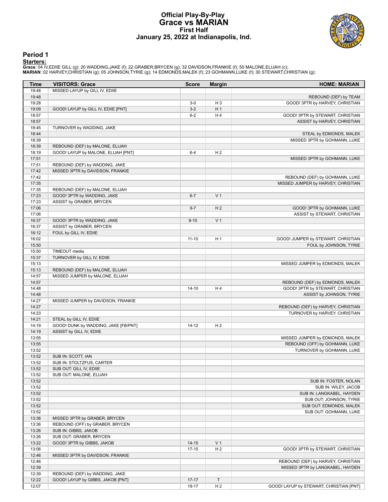#### **Official Play-By-Play Grace vs MARIAN First Half January 25, 2022 at Indianapolis, Ind.**



#### **Period 1**

<mark>Startersː</mark><br>Grace: 04 IV,EDIIE GILL (g); 20 WADDING,JAKE (f); 22 GRABER,BRYCEN (g); 32 DAVIDSON,FRANKIE (f); 50 MALONE,ELIJAH (c);<br>**MARIAN**: 02 HARVEY,CHRISTIAN (g); 05 JOHNSON,TYRIE (g); 14 EDMONDS,MALEK (f); 23 GOHMANN,L

| <b>Time</b>    | <b>VISITORS: Grace</b>                                             | <b>Score</b>       | <b>Margin</b>       | <b>HOME: MARIAN</b>                     |
|----------------|--------------------------------------------------------------------|--------------------|---------------------|-----------------------------------------|
| 19:48          | MISSED LAYUP by GILL IV, EDIIE                                     |                    |                     |                                         |
| 19:48          |                                                                    |                    |                     | REBOUND (DEF) by TEAM                   |
| 19:28          |                                                                    | $3-0$              | H <sub>3</sub>      | GOOD! 3PTR by HARVEY, CHRISTIAN         |
| 19:09          | GOOD! LAYUP by GILL IV, EDIIE [PNT]                                | $3-2$              | H <sub>1</sub>      |                                         |
| 18:57          |                                                                    | $6-2$              | H4                  | GOOD! 3PTR by STEWART, CHRISTIAN        |
| 18:57          |                                                                    |                    |                     | ASSIST by HARVEY, CHRISTIAN             |
| 18:45          | TURNOVER by WADDING, JAKE                                          |                    |                     |                                         |
| 18:44          |                                                                    |                    |                     | STEAL by EDMONDS, MALEK                 |
| 18:39          |                                                                    |                    |                     | MISSED 3PTR by GOHMANN, LUKE            |
| 18:39          | REBOUND (DEF) by MALONE, ELIJAH                                    |                    |                     |                                         |
| 18:19          | GOOD! LAYUP by MALONE, ELIJAH [PNT]                                | $6 - 4$            | H <sub>2</sub>      |                                         |
| 17:51          |                                                                    |                    |                     | MISSED 3PTR by GOHMANN, LUKE            |
| 17:51<br>17:42 | REBOUND (DEF) by WADDING, JAKE<br>MISSED 3PTR by DAVIDSON, FRANKIE |                    |                     |                                         |
| 17:42          |                                                                    |                    |                     | REBOUND (DEF) by GOHMANN, LUKE          |
| 17:35          |                                                                    |                    |                     | MISSED JUMPER by HARVEY, CHRISTIAN      |
| 17:35          | REBOUND (DEF) by MALONE, ELIJAH                                    |                    |                     |                                         |
| 17:23          | GOOD! 3PTR by WADDING, JAKE                                        | $6 - 7$            | V <sub>1</sub>      |                                         |
| 17:23          | ASSIST by GRABER, BRYCEN                                           |                    |                     |                                         |
| 17:06          |                                                                    | $9 - 7$            | H <sub>2</sub>      | GOOD! 3PTR by GOHMANN, LUKE             |
| 17:06          |                                                                    |                    |                     | ASSIST by STEWART, CHRISTIAN            |
| 16:37          | GOOD! 3PTR by WADDING, JAKE                                        | $9 - 10$           | V <sub>1</sub>      |                                         |
| 16:37          | ASSIST by GRABER, BRYCEN                                           |                    |                     |                                         |
| 16:12          | FOUL by GILL IV, EDIIE                                             |                    |                     |                                         |
| 16:02          |                                                                    | $11 - 10$          | H <sub>1</sub>      | GOOD! JUMPER by STEWART, CHRISTIAN      |
| 15:50          |                                                                    |                    |                     | FOUL by JOHNSON, TYRIE                  |
| 15:50          | TIMEOUT media                                                      |                    |                     |                                         |
| 15:37          | TURNOVER by GILL IV, EDIIE                                         |                    |                     |                                         |
| 15:13          |                                                                    |                    |                     | MISSED JUMPER by EDMONDS, MALEK         |
| 15:13          | REBOUND (DEF) by MALONE, ELIJAH                                    |                    |                     |                                         |
| 14:57          | MISSED JUMPER by MALONE, ELIJAH                                    |                    |                     |                                         |
| 14:57          |                                                                    |                    |                     | REBOUND (DEF) by EDMONDS, MALEK         |
| 14:48          |                                                                    | 14-10              | H 4                 | GOOD! 3PTR by STEWART, CHRISTIAN        |
| 14:48          |                                                                    |                    |                     | ASSIST by JOHNSON, TYRIE                |
| 14:27          | MISSED JUMPER by DAVIDSON, FRANKIE                                 |                    |                     |                                         |
| 14:27          |                                                                    |                    |                     | REBOUND (DEF) by HARVEY, CHRISTIAN      |
| 14:23<br>14:21 | STEAL by GILL IV, EDIIE                                            |                    |                     | TURNOVER by HARVEY, CHRISTIAN           |
| 14:19          | GOOD! DUNK by WADDING, JAKE [FB/PNT]                               | $14 - 12$          | H <sub>2</sub>      |                                         |
| 14:19          | ASSIST by GILL IV, EDIIE                                           |                    |                     |                                         |
| 13:55          |                                                                    |                    |                     | MISSED JUMPER by EDMONDS, MALEK         |
| 13:55          |                                                                    |                    |                     | REBOUND (OFF) by GOHMANN, LUKE          |
| 13:52          |                                                                    |                    |                     | TURNOVER by GOHMANN, LUKE               |
| 13:52          | SUB IN: SCOTT, IAN                                                 |                    |                     |                                         |
| 13:52          | SUB IN: STOLTZFUS, CARTER                                          |                    |                     |                                         |
| 13:52          | SUB OUT: GILL IV, EDIIE                                            |                    |                     |                                         |
| 13:52          | SUB OUT: MALONE, ELIJAH                                            |                    |                     |                                         |
| 13:52          |                                                                    |                    |                     | SUB IN: FOSTER, NOLAN                   |
| 13:52          |                                                                    |                    |                     | SUB IN: WILEY, JACOB                    |
| 13:52          |                                                                    |                    |                     | SUB IN: LANGKABEL, HAYDEN               |
| 13:52          |                                                                    |                    |                     | SUB OUT: JOHNSON, TYRIE                 |
| 13:52          |                                                                    |                    |                     | SUB OUT: EDMONDS, MALEK                 |
| 13:52          |                                                                    |                    |                     | SUB OUT: GOHMANN, LUKE                  |
| 13:36          | MISSED 3PTR by GRABER, BRYCEN                                      |                    |                     |                                         |
| 13:36          | REBOUND (OFF) by GRABER, BRYCEN                                    |                    |                     |                                         |
| 13:26          | SUB IN: GIBBS, JAKOB                                               |                    |                     |                                         |
| 13:26          | SUB OUT: GRABER, BRYCEN                                            |                    |                     |                                         |
| 13:22          | GOOD! 3PTR by GIBBS, JAKOB                                         | $14 - 15$          | V <sub>1</sub>      |                                         |
| 13:06          |                                                                    | $17 - 15$          | H <sub>2</sub>      | GOOD! 3PTR by STEWART, CHRISTIAN        |
| 12:46          | MISSED 3PTR by DAVIDSON, FRANKIE                                   |                    |                     |                                         |
| 12:46          |                                                                    |                    |                     | REBOUND (DEF) by HARVEY, CHRISTIAN      |
| 12:39          |                                                                    |                    |                     | MISSED 3PTR by LANGKABEL, HAYDEN        |
| 12:39<br>12:22 | REBOUND (DEF) by WADDING, JAKE                                     |                    |                     |                                         |
| 12:07          | GOOD! LAYUP by GIBBS, JAKOB [PNT]                                  | $17 - 17$<br>19-17 | Τ<br>H <sub>2</sub> | GOOD! LAYUP by STEWART, CHRISTIAN [PNT] |
|                |                                                                    |                    |                     |                                         |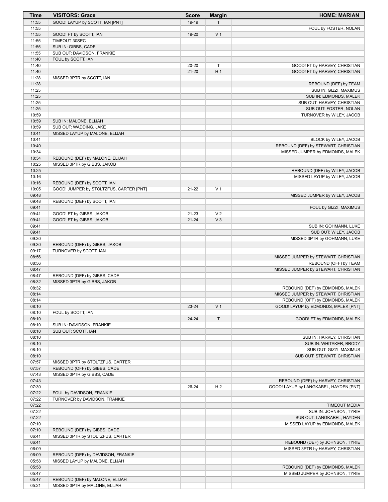| Time           | <b>VISITORS: Grace</b>                            | <b>Score</b> | <b>Margin</b>  | <b>HOME: MARIAN</b>                                          |
|----------------|---------------------------------------------------|--------------|----------------|--------------------------------------------------------------|
| 11:55          | GOOD! LAYUP by SCOTT, IAN [PNT]                   | 19-19        | T.             |                                                              |
| 11:55          |                                                   |              |                | FOUL by FOSTER, NOLAN                                        |
| 11:55          | GOOD! FT by SCOTT, IAN                            | 19-20        | V <sub>1</sub> |                                                              |
| 11:55          | TIMEOUT 30SEC                                     |              |                |                                                              |
| 11:55<br>11:55 | SUB IN: GIBBS, CADE<br>SUB OUT: DAVIDSON, FRANKIE |              |                |                                                              |
| 11:40          | FOUL by SCOTT, IAN                                |              |                |                                                              |
| 11:40          |                                                   | 20-20        | $\mathsf T$    | GOOD! FT by HARVEY, CHRISTIAN                                |
| 11:40          |                                                   | $21 - 20$    | H <sub>1</sub> | GOOD! FT by HARVEY, CHRISTIAN                                |
| 11:28          | MISSED 3PTR by SCOTT, IAN                         |              |                |                                                              |
| 11:28          |                                                   |              |                | REBOUND (DEF) by TEAM                                        |
| 11:25          |                                                   |              |                | SUB IN: GIZZI, MAXIMUS                                       |
| 11:25          |                                                   |              |                | SUB IN: EDMONDS, MALEK                                       |
| 11:25          |                                                   |              |                | SUB OUT: HARVEY, CHRISTIAN                                   |
| 11:25          |                                                   |              |                | SUB OUT: FOSTER, NOLAN                                       |
| 10:59<br>10:59 | SUB IN: MALONE, ELIJAH                            |              |                | TURNOVER by WILEY, JACOB                                     |
| 10:59          | SUB OUT: WADDING, JAKE                            |              |                |                                                              |
| 10:41          | MISSED LAYUP by MALONE, ELIJAH                    |              |                |                                                              |
| 10:41          |                                                   |              |                | BLOCK by WILEY, JACOB                                        |
| 10:40          |                                                   |              |                | REBOUND (DEF) by STEWART, CHRISTIAN                          |
| 10:34          |                                                   |              |                | MISSED JUMPER by EDMONDS, MALEK                              |
| 10:34          | REBOUND (DEF) by MALONE, ELIJAH                   |              |                |                                                              |
| 10:25          | MISSED 3PTR by GIBBS, JAKOB                       |              |                |                                                              |
| 10:25          |                                                   |              |                | REBOUND (DEF) by WILEY, JACOB                                |
| 10:16          |                                                   |              |                | MISSED LAYUP by WILEY, JACOB                                 |
| 10:16          | REBOUND (DEF) by SCOTT, IAN                       |              |                |                                                              |
| 10:05<br>09:48 | GOOD! JUMPER by STOLTZFUS, CARTER [PNT]           | $21 - 22$    | V <sub>1</sub> |                                                              |
| 09:48          | REBOUND (DEF) by SCOTT, IAN                       |              |                | MISSED JUMPER by WILEY, JACOB                                |
| 09:41          |                                                   |              |                | FOUL by GIZZI, MAXIMUS                                       |
| 09:41          | GOOD! FT by GIBBS, JAKOB                          | 21-23        | V <sub>2</sub> |                                                              |
| 09:41          | GOOD! FT by GIBBS, JAKOB                          | $21 - 24$    | $V_3$          |                                                              |
| 09:41          |                                                   |              |                | SUB IN: GOHMANN, LUKE                                        |
| 09:41          |                                                   |              |                | SUB OUT: WILEY, JACOB                                        |
| 09:30          |                                                   |              |                | MISSED 3PTR by GOHMANN, LUKE                                 |
| 09:30          | REBOUND (DEF) by GIBBS, JAKOB                     |              |                |                                                              |
| 09:17          | TURNOVER by SCOTT, IAN                            |              |                |                                                              |
| 08:56<br>08:56 |                                                   |              |                | MISSED JUMPER by STEWART, CHRISTIAN                          |
| 08:47          |                                                   |              |                | REBOUND (OFF) by TEAM<br>MISSED JUMPER by STEWART, CHRISTIAN |
| 08:47          | REBOUND (DEF) by GIBBS, CADE                      |              |                |                                                              |
| 08:32          | MISSED 3PTR by GIBBS, JAKOB                       |              |                |                                                              |
| 08:32          |                                                   |              |                | REBOUND (DEF) by EDMONDS, MALEK                              |
| 08:14          |                                                   |              |                | MISSED JUMPER by STEWART, CHRISTIAN                          |
| 08:14          |                                                   |              |                | REBOUND (OFF) by EDMONDS, MALEK                              |
| 08:10          |                                                   | 23-24        | V <sub>1</sub> | GOOD! LAYUP by EDMONDS, MALEK [PNT]                          |
| 08:10          | FOUL by SCOTT, IAN                                |              |                |                                                              |
| 08:10<br>08:10 | SUB IN: DAVIDSON, FRANKIE                         | 24-24        | $\mathsf T$    | GOOD! FT by EDMONDS, MALEK                                   |
| 08:10          | SUB OUT: SCOTT, IAN                               |              |                |                                                              |
| 08:10          |                                                   |              |                | SUB IN: HARVEY, CHRISTIAN                                    |
| 08:10          |                                                   |              |                | SUB IN: WHITAKER, BRODY                                      |
| 08:10          |                                                   |              |                | SUB OUT: GIZZI, MAXIMUS                                      |
| 08:10          |                                                   |              |                | SUB OUT: STEWART, CHRISTIAN                                  |
| 07:57          | MISSED 3PTR by STOLTZFUS, CARTER                  |              |                |                                                              |
| 07:57          | REBOUND (OFF) by GIBBS, CADE                      |              |                |                                                              |
| 07:43          | MISSED 3PTR by GIBBS, CADE                        |              |                |                                                              |
| 07:43          |                                                   |              |                | REBOUND (DEF) by HARVEY, CHRISTIAN                           |
| 07:30<br>07:22 | FOUL by DAVIDSON, FRANKIE                         | 26-24        | H <sub>2</sub> | GOOD! LAYUP by LANGKABEL, HAYDEN [PNT]                       |
| 07:22          | TURNOVER by DAVIDSON, FRANKIE                     |              |                |                                                              |
| 07:22          |                                                   |              |                | <b>TIMEOUT MEDIA</b>                                         |
| 07:22          |                                                   |              |                | SUB IN: JOHNSON, TYRIE                                       |
| 07:22          |                                                   |              |                | SUB OUT: LANGKABEL, HAYDEN                                   |
| 07:10          |                                                   |              |                | MISSED LAYUP by EDMONDS, MALEK                               |
| 07:10          | REBOUND (DEF) by GIBBS, CADE                      |              |                |                                                              |
| 06:41          | MISSED 3PTR by STOLTZFUS, CARTER                  |              |                |                                                              |
| 06:41          |                                                   |              |                | REBOUND (DEF) by JOHNSON, TYRIE                              |
| 06:09          |                                                   |              |                | MISSED 3PTR by HARVEY, CHRISTIAN                             |
| 06:09          | REBOUND (DEF) by DAVIDSON, FRANKIE                |              |                |                                                              |
| 05:58<br>05:58 | MISSED LAYUP by MALONE, ELIJAH                    |              |                | REBOUND (DEF) by EDMONDS, MALEK                              |
| 05:47          |                                                   |              |                | MISSED JUMPER by JOHNSON, TYRIE                              |
| 05:47          | REBOUND (DEF) by MALONE, ELIJAH                   |              |                |                                                              |
| 05:21          | MISSED 3PTR by MALONE, ELIJAH                     |              |                |                                                              |
|                |                                                   |              |                |                                                              |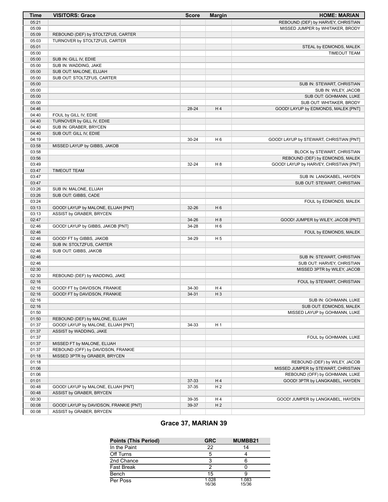| <b>Time</b>    | <b>VISITORS: Grace</b>                                                 | <b>Score</b> | <b>Margin</b>  | <b>HOME: MARIAN</b>                            |
|----------------|------------------------------------------------------------------------|--------------|----------------|------------------------------------------------|
| 05:21          |                                                                        |              |                | REBOUND (DEF) by HARVEY, CHRISTIAN             |
| 05:09          |                                                                        |              |                | MISSED JUMPER by WHITAKER, BRODY               |
| 05:09          | REBOUND (DEF) by STOLTZFUS, CARTER                                     |              |                |                                                |
| 05:03          | TURNOVER by STOLTZFUS, CARTER                                          |              |                |                                                |
| 05:01          |                                                                        |              |                | STEAL by EDMONDS, MALEK                        |
| 05:00          |                                                                        |              |                | <b>TIMEOUT TEAM</b>                            |
| 05:00          | SUB IN: GILL IV, EDIIE                                                 |              |                |                                                |
| 05:00          | SUB IN: WADDING, JAKE                                                  |              |                |                                                |
| 05:00          | SUB OUT: MALONE, ELIJAH                                                |              |                |                                                |
| 05:00          | SUB OUT: STOLTZFUS, CARTER                                             |              |                |                                                |
| 05:00          |                                                                        |              |                | SUB IN: STEWART, CHRISTIAN                     |
| 05:00<br>05:00 |                                                                        |              |                | SUB IN: WILEY, JACOB<br>SUB OUT: GOHMANN, LUKE |
| 05:00          |                                                                        |              |                | SUB OUT: WHITAKER, BRODY                       |
| 04:46          |                                                                        | 28-24        | H <sub>4</sub> | GOOD! LAYUP by EDMONDS, MALEK [PNT]            |
| 04:40          | FOUL by GILL IV, EDIIE                                                 |              |                |                                                |
| 04:40          | TURNOVER by GILL IV, EDIIE                                             |              |                |                                                |
| 04:40          | SUB IN: GRABER, BRYCEN                                                 |              |                |                                                |
| 04:40          | SUB OUT: GILL IV, EDIIE                                                |              |                |                                                |
| 04:19          |                                                                        | $30 - 24$    | H <sub>6</sub> | GOOD! LAYUP by STEWART, CHRISTIAN [PNT]        |
| 03:58          | MISSED LAYUP by GIBBS, JAKOB                                           |              |                |                                                |
| 03:58          |                                                                        |              |                | BLOCK by STEWART, CHRISTIAN                    |
| 03:56          |                                                                        |              |                | REBOUND (DEF) by EDMONDS, MALEK                |
| 03:49          |                                                                        | 32-24        | H <sub>8</sub> | GOOD! LAYUP by HARVEY, CHRISTIAN [PNT]         |
| 03:47          | <b>TIMEOUT TEAM</b>                                                    |              |                |                                                |
| 03:47          |                                                                        |              |                | SUB IN: LANGKABEL, HAYDEN                      |
| 03:47          |                                                                        |              |                | SUB OUT: STEWART, CHRISTIAN                    |
| 03:26          | SUB IN: MALONE, ELIJAH                                                 |              |                |                                                |
| 03:26          | SUB OUT: GIBBS, CADE                                                   |              |                |                                                |
| 03:24          |                                                                        |              |                | FOUL by EDMONDS, MALEK                         |
| 03:13          | GOOD! LAYUP by MALONE, ELIJAH [PNT]                                    | 32-26        | H <sub>6</sub> |                                                |
| 03:13<br>02:47 | ASSIST by GRABER, BRYCEN                                               | 34-26        | H 8            | GOOD! JUMPER by WILEY, JACOB [PNT]             |
| 02:46          | GOOD! LAYUP by GIBBS, JAKOB [PNT]                                      | 34-28        | H 6            |                                                |
| 02:46          |                                                                        |              |                | FOUL by EDMONDS, MALEK                         |
| 02:46          | GOOD! FT by GIBBS, JAKOB                                               | 34-29        | H <sub>5</sub> |                                                |
| 02:46          | SUB IN: STOLTZFUS, CARTER                                              |              |                |                                                |
| 02:46          | SUB OUT: GIBBS, JAKOB                                                  |              |                |                                                |
| 02:46          |                                                                        |              |                | SUB IN: STEWART, CHRISTIAN                     |
| 02:46          |                                                                        |              |                | SUB OUT: HARVEY, CHRISTIAN                     |
| 02:30          |                                                                        |              |                | MISSED 3PTR by WILEY, JACOB                    |
| 02:30          | REBOUND (DEF) by WADDING, JAKE                                         |              |                |                                                |
| 02:16          |                                                                        |              |                | FOUL by STEWART, CHRISTIAN                     |
| 02:16          | GOOD! FT by DAVIDSON, FRANKIE                                          | 34-30        | H 4            |                                                |
| 02:16          | GOOD! FT by DAVIDSON, FRANKIE                                          | 34-31        | H <sub>3</sub> |                                                |
| 02:16          |                                                                        |              |                | SUB IN: GOHMANN, LUKE                          |
| 02:16          |                                                                        |              |                | SUB OUT: EDMONDS, MALEK                        |
| 01:50          |                                                                        |              |                | MISSED LAYUP by GOHMANN, LUKE                  |
| 01:50          | REBOUND (DEF) by MALONE, ELIJAH<br>GOOD! LAYUP by MALONE, ELIJAH [PNT] |              |                |                                                |
| 01:37<br>01:37 | ASSIST by WADDING, JAKE                                                | 34-33        | H 1            |                                                |
| 01:37          |                                                                        |              |                | FOUL by GOHMANN, LUKE                          |
| 01:37          | MISSED FT by MALONE, ELIJAH                                            |              |                |                                                |
| 01:37          | REBOUND (OFF) by DAVIDSON, FRANKIE                                     |              |                |                                                |
| 01:18          | MISSED 3PTR by GRABER, BRYCEN                                          |              |                |                                                |
| 01:18          |                                                                        |              |                | REBOUND (DEF) by WILEY, JACOB                  |
| 01:06          |                                                                        |              |                | MISSED JUMPER by STEWART, CHRISTIAN            |
| 01:06          |                                                                        |              |                | REBOUND (OFF) by GOHMANN, LUKE                 |
| 01:01          |                                                                        | 37-33        | H 4            | GOOD! 3PTR by LANGKABEL, HAYDEN                |
| 00:48          | GOOD! LAYUP by MALONE, ELIJAH [PNT]                                    | 37-35        | H <sub>2</sub> |                                                |
| 00:48          | ASSIST by GRABER, BRYCEN                                               |              |                |                                                |
| 00:30          |                                                                        | 39-35        | H 4            | GOOD! JUMPER by LANGKABEL, HAYDEN              |
| 00:08          | GOOD! LAYUP by DAVIDSON, FRANKIE [PNT]                                 | 39-37        | H <sub>2</sub> |                                                |
| 00:08          | ASSIST by GRABER, BRYCEN                                               |              |                |                                                |

# **Grace 37, MARIAN 39**

| <b>Points (This Period)</b> | <b>GRC</b>     | MUMBB21        |
|-----------------------------|----------------|----------------|
| In the Paint                | 22             | 14             |
| Off Turns                   |                |                |
| 2nd Chance                  |                |                |
| <b>Fast Break</b>           |                |                |
| Bench                       | 15             |                |
| Per Poss                    | 1.028<br>16/36 | 1.083<br>15/36 |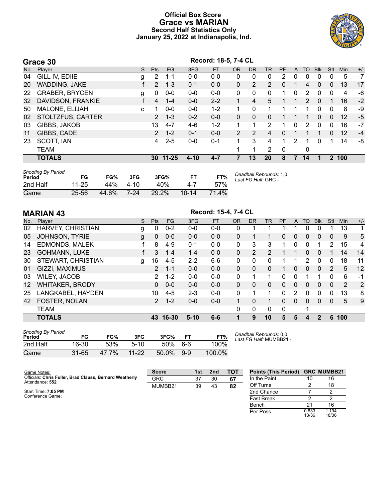### **Official Box Score Grace vs MARIAN Second Half Statistics Only January 25, 2022 at Indianapolis, Ind.**



|     | Grace 30              |   |                |           |          | Record: 18-5, 7-4 CL |           |           |                |             |              |               |            |             |            |       |
|-----|-----------------------|---|----------------|-----------|----------|----------------------|-----------|-----------|----------------|-------------|--------------|---------------|------------|-------------|------------|-------|
| No. | Player                | S | <b>Pts</b>     | <b>FG</b> | 3FG      | <b>FT</b>            | <b>OR</b> | <b>DR</b> | TR             | <b>PF</b>   | $\mathsf{A}$ | TO            | <b>BIK</b> | Stl         | <b>Min</b> | $+/-$ |
| 04  | GILL IV, EDIIE        | g | 2              | 1-1       | $0-0$    | $0 - 0$              | 0         | 0         | 0              | 2           | 0            | 0             | $\Omega$   | 0           | 5          | $-7$  |
| 20  | WADDING, JAKE         |   | $\mathcal{P}$  | $1 - 3$   | $0 - 1$  | $0 - 0$              | 0         | 2         | $\overline{2}$ | $\Omega$    |              | 4             | $\Omega$   | 0           | 13         | $-17$ |
| 22  | <b>GRABER, BRYCEN</b> | g | 0              | $0-0$     | $0 - 0$  | $0-0$                | 0         | 0         | $\mathbf{0}$   | 1           | 0            | 2             | $\Omega$   | $\mathbf 0$ | 4          | -6    |
| 32  | DAVIDSON, FRANKIE     |   | 4              | $1 - 4$   | $0 - 0$  | $2 - 2$              | 1         | 4         | 5              |             |              | $\mathcal{P}$ | $\Omega$   | 1           | 16         | $-2$  |
| 50  | MALONE, ELIJAH        | c |                | $0 - 0$   | $0 - 0$  | $1 - 2$              |           | $\Omega$  |                |             |              |               | 0          | 0           | 8          | -9    |
| 02  | STOLTZFUS, CARTER     |   | $\overline{2}$ | $1 - 3$   | $0 - 2$  | $0 - 0$              | 0         | $\Omega$  | 0              |             |              |               | 0          | 0           | 12         | $-5$  |
| 03  | GIBBS, JAKOB          |   | 13             | $4 - 7$   | $4-6$    | $1 - 2$              |           | 1         | 2              |             | 0            | $\mathcal{P}$ | $\Omega$   | 0           | 16         | $-7$  |
| 11  | GIBBS, CADE           |   | $\overline{2}$ | $1 - 2$   | $0 - 1$  | $0 - 0$              | 2         | 2         | 4              | $\Omega$    |              |               |            | $\Omega$    | 12         | $-4$  |
| 23  | SCOTT, IAN            |   | 4              | $2 - 5$   | $0 - 0$  | $0 - 1$              | 1         | 3         | 4              | 1           | 2            | 1             | $\Omega$   | 1           | 14         | -8    |
|     | <b>TEAM</b>           |   |                |           |          |                      |           | 1         | 2              | $\mathbf 0$ |              | 0             |            |             |            |       |
|     | <b>TOTALS</b>         |   |                | 30 11-25  | $4 - 10$ | $4 - 7$              |           | 13        | 20             | 8           | 7            | 14            |            | $\mathbf 2$ | 100        |       |
|     |                       |   |                |           |          |                      |           |           |                |             |              |               |            |             |            |       |

| <b>Shooting By Period</b><br>Period | FG        | FG%   | 3FG  | 3FG%  |            | FT%   | Deadball Rebounds: 1,0<br>Last FG Half: GRC - |
|-------------------------------------|-----------|-------|------|-------|------------|-------|-----------------------------------------------|
| 2nd Half                            | $11 - 25$ | 44%   | 4-10 | 40%   | $4 - \ell$ | 57%   |                                               |
| Game                                | 25-56     | 44.6% | 7-24 | 29.2% | $10 - 14$  | 71.4% |                                               |

|                   | <b>MARIAN 43</b>       |   |                |           |          | Record: 15-4, 7-4 CL |           |           |                |           |              |                |              |              |            |       |
|-------------------|------------------------|---|----------------|-----------|----------|----------------------|-----------|-----------|----------------|-----------|--------------|----------------|--------------|--------------|------------|-------|
| No.               | Plaver                 | S | <b>Pts</b>     | <b>FG</b> | 3FG      | <b>FT</b>            | <b>OR</b> | <b>DR</b> | <b>TR</b>      | <b>PF</b> | A            | T <sub>O</sub> | <b>BIK</b>   | Stl          | <b>Min</b> | $+/-$ |
| 02                | HARVEY, CHRISTIAN      | g | 0              | $0 - 2$   | $0 - 0$  | $0 - 0$              | 0         | 1         |                |           |              | 0              | 0            |              | 13         | 1     |
| 05                | <b>JOHNSON, TYRIE</b>  | g | $\mathbf{0}$   | $0 - 0$   | $0 - 0$  | $0 - 0$              | 0         | 1         |                | 0         | 0            | $\mathbf{0}$   | $\mathbf{0}$ | $\mathbf{0}$ | 9          | 5     |
| 14                | <b>EDMONDS, MALEK</b>  |   | 8              | $4-9$     | $0 - 1$  | $0 - 0$              | 0         | 3         | 3              |           | 0            | 0              |              | 2            | 15         | 4     |
| 23                | <b>GOHMANN, LUKE</b>   |   | 3              | $1 - 4$   | $1 - 4$  | $0 - 0$              | 0         | 2         | $\overline{2}$ |           |              | 0              | $\Omega$     | 1            | 14         | 14    |
| 30                | STEWART, CHRISTIAN     | g | 16             | $4 - 5$   | $2 - 2$  | $6 - 6$              | 0         | 0         | $\mathbf{0}$   | 1         |              | 2              | $\Omega$     | $\mathbf{0}$ | 18         | 11    |
| 01                | GIZZI, MAXIMUS         |   | $\overline{2}$ | $1 - 1$   | $0 - 0$  | $0 - 0$              | $\Omega$  | $\Omega$  | 0              |           | $\mathbf{0}$ | $\Omega$       | $\mathbf{0}$ | 2            | 5          | 12    |
| 03                | <b>WILEY, JACOB</b>    |   | 2              | $1 - 2$   | $0 - 0$  | $0 - 0$              | 0         | 1         |                | 0         | $\mathbf{0}$ |                |              | 0            | 6          | -1    |
| $12 \overline{ }$ | <b>WHITAKER, BRODY</b> |   | 0              | $0 - 0$   | $0 - 0$  | $0 - 0$              | 0         | 0         | $\mathbf{0}$   | 0         | 0            | 0              | $\mathbf{0}$ | $\mathbf{0}$ | 2          | 2     |
| 25                | LANGKABEL, HAYDEN      |   | 10             | $4 - 5$   | $2 - 3$  | $0 - 0$              | 0         | 1         | 1              | 0         | 2            | 0              | $\Omega$     | 0            | 13         | 8     |
| 42                | <b>FOSTER, NOLAN</b>   |   | $\overline{2}$ | $1 - 2$   | $0 - 0$  | $0 - 0$              |           | $\Omega$  | 1              | 0         | $\Omega$     | $\Omega$       | $\Omega$     | 0            | 5          | 9     |
|                   | <b>TEAM</b>            |   |                |           |          |                      | 0         | 0         | 0              | $\Omega$  |              |                |              |              |            |       |
|                   | <b>TOTALS</b>          |   | 43             | 16-30     | $5 - 10$ | $6-6$                |           | 9         | 10             | 5         | 5            | 4              | 2            | 6            | 100        |       |

| <b>Shooting By Period</b><br>Period | FG        | FG%   | 3FG       | 3FG%  | FТ    | FT%    |
|-------------------------------------|-----------|-------|-----------|-------|-------|--------|
| 2nd Half                            | 16-30     | 53%   | $5-10$    | 50%   | 6-6   | 100%   |
| Game                                | $31 - 65$ | 47.7% | $11 - 22$ | 50.0% | $9-9$ | 100.0% |

*Deadball Rebounds:* 0,0 *Last FG Half:* MUMBB21 -

| Game Notes:                                                                | <b>Score</b> | 1st | 2nd | TOT | <b>Points (This Period)</b> |                | <b>GRC MUMBB21</b> |
|----------------------------------------------------------------------------|--------------|-----|-----|-----|-----------------------------|----------------|--------------------|
| Officials: Chris Fuller, Brad Clauss, Bernard Weatherly<br>Attendance: 552 | <b>GRC</b>   | 37  | 30  | 67  | In the Paint                | 10             | 16                 |
|                                                                            | MUMBB21      | 39  | 43  | 82  | Off Turns                   |                | 18                 |
| Start Time: 7:05 PM                                                        |              |     |     |     | 2nd Chance                  |                |                    |
| Conference Game:                                                           |              |     |     |     | <b>Fast Break</b>           |                |                    |
|                                                                            |              |     |     |     | Bench                       | 21             | 16                 |
|                                                                            |              |     |     |     | Per Poss                    | 0.833<br>13/36 | 1.194<br>18/36     |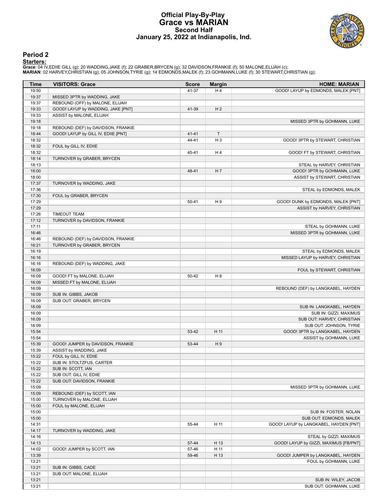#### **Official Play-By-Play Grace vs MARIAN Second Half January 25, 2022 at Indianapolis, Ind.**



### **Period 2**

<mark>Startersː</mark><br>Grace: 04 IV,EDIIE GILL (g); 20 WADDING,JAKE (f); 22 GRABER,BRYCEN (g); 32 DAVIDSON,FRANKIE (f); 50 MALONE,ELIJAH (c);<br>**MARIAN**: 02 HARVEY,CHRISTIAN (g); 05 JOHNSON,TYRIE (g); 14 EDMONDS,MALEK (f); 23 GOHMANN,L

| Time           | <b>VISITORS: Grace</b>                                | <b>Score</b> | <b>Margin</b>  | <b>HOME: MARIAN</b>                                       |
|----------------|-------------------------------------------------------|--------------|----------------|-----------------------------------------------------------|
| 19:50          |                                                       | 41-37        | H 4            | GOOD! LAYUP by EDMONDS, MALEK [PNT]                       |
| 19:37          | MISSED 3PTR by WADDING, JAKE                          |              |                |                                                           |
| 19:37          | REBOUND (OFF) by MALONE, ELIJAH                       |              |                |                                                           |
| 19:33          | GOOD! LAYUP by WADDING, JAKE [PNT]                    | 41-39        | H <sub>2</sub> |                                                           |
| 19:33          | ASSIST by MALONE, ELIJAH                              |              |                |                                                           |
| 19:18          |                                                       |              |                | MISSED 3PTR by GOHMANN, LUKE                              |
| 19:18          | REBOUND (DEF) by DAVIDSON, FRANKIE                    |              |                |                                                           |
| 18:44          | GOOD! LAYUP by GILL IV, EDIIE [PNT]                   | $41 - 41$    | $\mathsf{T}$   |                                                           |
| 18:32          |                                                       | 44-41        | H <sub>3</sub> | GOOD! 3PTR by STEWART, CHRISTIAN                          |
| 18:32          | FOUL by GILL IV, EDIIE                                |              |                |                                                           |
| 18:32          |                                                       | 45-41        | H4             | GOOD! FT by STEWART, CHRISTIAN                            |
| 18:14<br>18:13 | TURNOVER by GRABER, BRYCEN                            |              |                |                                                           |
| 18:00          |                                                       | 48-41        | H7             | STEAL by HARVEY, CHRISTIAN<br>GOOD! 3PTR by GOHMANN, LUKE |
| 18:00          |                                                       |              |                | ASSIST by STEWART, CHRISTIAN                              |
| 17:37          | TURNOVER by WADDING, JAKE                             |              |                |                                                           |
| 17:36          |                                                       |              |                | STEAL by EDMONDS, MALEK                                   |
| 17:30          | FOUL by GRABER, BRYCEN                                |              |                |                                                           |
| 17:29          |                                                       | $50 - 41$    | H9             | GOOD! DUNK by EDMONDS, MALEK [PNT]                        |
| 17:29          |                                                       |              |                | ASSIST by HARVEY, CHRISTIAN                               |
| 17:26          | <b>TIMEOUT TEAM</b>                                   |              |                |                                                           |
| 17:12          | TURNOVER by DAVIDSON, FRANKIE                         |              |                |                                                           |
| 17:11          |                                                       |              |                | STEAL by GOHMANN, LUKE                                    |
| 16:46          |                                                       |              |                | MISSED 3PTR by GOHMANN, LUKE                              |
| 16:46          | REBOUND (DEF) by DAVIDSON, FRANKIE                    |              |                |                                                           |
| 16:21          | TURNOVER by GRABER, BRYCEN                            |              |                |                                                           |
| 16:19          |                                                       |              |                | STEAL by EDMONDS, MALEK                                   |
| 16:16          |                                                       |              |                | MISSED LAYUP by HARVEY, CHRISTIAN                         |
| 16:16          | REBOUND (DEF) by WADDING, JAKE                        |              |                |                                                           |
| 16:09          |                                                       |              |                | FOUL by STEWART, CHRISTIAN                                |
| 16:09          | GOOD! FT by MALONE, ELIJAH                            | 50-42        | H <sub>8</sub> |                                                           |
| 16:09          | MISSED FT by MALONE, ELIJAH                           |              |                |                                                           |
| 16:09          |                                                       |              |                | REBOUND (DEF) by LANGKABEL, HAYDEN                        |
| 16:09          | SUB IN: GIBBS, JAKOB                                  |              |                |                                                           |
| 16:09          | SUB OUT: GRABER, BRYCEN                               |              |                |                                                           |
| 16:09          |                                                       |              |                | SUB IN: LANGKABEL, HAYDEN                                 |
| 16:09          |                                                       |              |                | SUB IN: GIZZI, MAXIMUS                                    |
| 16:09          |                                                       |              |                | SUB OUT: HARVEY, CHRISTIAN                                |
| 16:09          |                                                       |              |                | SUB OUT: JOHNSON, TYRIE                                   |
| 15:54          |                                                       | 53-42        | H 11           | GOOD! 3PTR by LANGKABEL, HAYDEN                           |
| 15:54          |                                                       |              |                | ASSIST by GOHMANN, LUKE                                   |
| 15:39          | GOOD! JUMPER by DAVIDSON, FRANKIE                     | 53-44        | H9             |                                                           |
| 15:39          | ASSIST by WADDING, JAKE                               |              |                |                                                           |
| 15:22          | FOUL by GILL IV, EDIIE                                |              |                |                                                           |
| 15:22          | SUB IN: STOLTZFUS, CARTER                             |              |                |                                                           |
| 15:22          | SUB IN: SCOTT, IAN                                    |              |                |                                                           |
| 15:22<br>15:22 | SUB OUT: GILL IV, EDIIE<br>SUB OUT: DAVIDSON, FRANKIE |              |                |                                                           |
| 15:09          |                                                       |              |                | MISSED 3PTR by GOHMANN, LUKE                              |
| 15:09          | REBOUND (DEF) by SCOTT, IAN                           |              |                |                                                           |
| 15:00          | TURNOVER by MALONE, ELIJAH                            |              |                |                                                           |
| 15:00          | FOUL by MALONE, ELIJAH                                |              |                |                                                           |
| 15:00          |                                                       |              |                | SUB IN: FOSTER, NOLAN                                     |
| 15:00          |                                                       |              |                | SUB OUT: EDMONDS, MALEK                                   |
| 14:31          |                                                       | 55-44        | H 11           | GOOD! LAYUP by LANGKABEL, HAYDEN [PNT]                    |
| 14:17          | TURNOVER by WADDING, JAKE                             |              |                |                                                           |
| 14:16          |                                                       |              |                | STEAL by GIZZI, MAXIMUS                                   |
| 14:13          |                                                       | 57-44        | H 13           | GOOD! LAYUP by GIZZI, MAXIMUS [FB/PNT]                    |
| 14:02          | GOOD! JUMPER by SCOTT, IAN                            | 57-46        | H 11           |                                                           |
| 13:39          |                                                       | 59-46        | H 13           | GOOD! JUMPER by LANGKABEL, HAYDEN                         |
| 13:21          |                                                       |              |                | FOUL by GOHMANN, LUKE                                     |
| 13:21          | SUB IN: GIBBS, CADE                                   |              |                |                                                           |
| 13:21          | SUB OUT: MALONE, ELIJAH                               |              |                |                                                           |
| 13:21          |                                                       |              |                | SUB IN: WILEY, JACOB                                      |
| 13:21          |                                                       |              |                | SUB OUT: GOHMANN, LUKE                                    |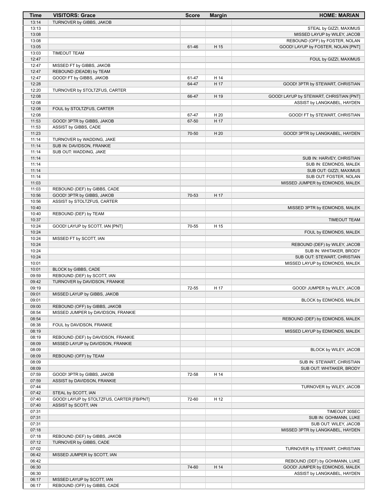| Time           | <b>VISITORS: Grace</b>                    | <b>Score</b> | <b>Margin</b> | <b>HOME: MARIAN</b>                                                  |
|----------------|-------------------------------------------|--------------|---------------|----------------------------------------------------------------------|
| 13:14          | TURNOVER by GIBBS, JAKOB                  |              |               |                                                                      |
| 13:13          |                                           |              |               | STEAL by GIZZI, MAXIMUS                                              |
| 13:08          |                                           |              |               | MISSED LAYUP by WILEY, JACOB                                         |
| 13:08<br>13:05 |                                           | 61-46        | H 15          | REBOUND (OFF) by FOSTER, NOLAN<br>GOOD! LAYUP by FOSTER, NOLAN [PNT] |
| 13:03          | <b>TIMEOUT TEAM</b>                       |              |               |                                                                      |
| 12:47          |                                           |              |               | FOUL by GIZZI, MAXIMUS                                               |
| 12:47          | MISSED FT by GIBBS, JAKOB                 |              |               |                                                                      |
| 12:47          | REBOUND (DEADB) by TEAM                   |              |               |                                                                      |
| 12:47          | GOOD! FT by GIBBS, JAKOB                  | 61-47        | H 14          |                                                                      |
| 12:28          |                                           | 64-47        | H 17          | GOOD! 3PTR by STEWART, CHRISTIAN                                     |
| 12:20          | TURNOVER by STOLTZFUS, CARTER             |              |               |                                                                      |
| 12:08<br>12:08 |                                           | 66-47        | H 19          | GOOD! LAYUP by STEWART, CHRISTIAN [PNT]                              |
| 12:08          | FOUL by STOLTZFUS, CARTER                 |              |               | ASSIST by LANGKABEL, HAYDEN                                          |
| 12:08          |                                           | 67-47        | H 20          | GOOD! FT by STEWART, CHRISTIAN                                       |
| 11:53          | GOOD! 3PTR by GIBBS, JAKOB                | 67-50        | H 17          |                                                                      |
| 11:53          | ASSIST by GIBBS, CADE                     |              |               |                                                                      |
| 11:23          |                                           | 70-50        | H 20          | GOOD! 3PTR by LANGKABEL, HAYDEN                                      |
| 11:14          | TURNOVER by WADDING, JAKE                 |              |               |                                                                      |
| 11:14          | SUB IN: DAVIDSON, FRANKIE                 |              |               |                                                                      |
| 11:14<br>11:14 | SUB OUT: WADDING, JAKE                    |              |               | SUB IN: HARVEY, CHRISTIAN                                            |
| 11:14          |                                           |              |               | SUB IN: EDMONDS, MALEK                                               |
| 11:14          |                                           |              |               | SUB OUT: GIZZI, MAXIMUS                                              |
| 11:14          |                                           |              |               | SUB OUT: FOSTER, NOLAN                                               |
| 11:03          |                                           |              |               | MISSED JUMPER by EDMONDS, MALEK                                      |
| 11:03          | REBOUND (DEF) by GIBBS, CADE              |              |               |                                                                      |
| 10:56          | GOOD! 3PTR by GIBBS, JAKOB                | 70-53        | H 17          |                                                                      |
| 10:56          | ASSIST by STOLTZFUS, CARTER               |              |               |                                                                      |
| 10:40<br>10:40 | REBOUND (DEF) by TEAM                     |              |               | MISSED 3PTR by EDMONDS, MALEK                                        |
| 10:37          |                                           |              |               | <b>TIMEOUT TEAM</b>                                                  |
| 10:24          | GOOD! LAYUP by SCOTT, IAN [PNT]           | 70-55        | H 15          |                                                                      |
| 10:24          |                                           |              |               | FOUL by EDMONDS, MALEK                                               |
| 10:24          | MISSED FT by SCOTT, IAN                   |              |               |                                                                      |
| 10:24          |                                           |              |               | REBOUND (DEF) by WILEY, JACOB                                        |
| 10:24<br>10:24 |                                           |              |               | SUB IN: WHITAKER, BRODY<br>SUB OUT: STEWART, CHRISTIAN               |
| 10:01          |                                           |              |               | MISSED LAYUP by EDMONDS, MALEK                                       |
| 10:01          | BLOCK by GIBBS, CADE                      |              |               |                                                                      |
| 09:59          | REBOUND (DEF) by SCOTT, IAN               |              |               |                                                                      |
| 09:42          | TURNOVER by DAVIDSON, FRANKIE             |              |               |                                                                      |
| 09:19<br>09:01 | MISSED LAYUP by GIBBS, JAKOB              | 72-55        | H 17          | GOOD! JUMPER by WILEY, JACOB                                         |
| 09:01          |                                           |              |               | BLOCK by EDMONDS, MALEK                                              |
| 09:00          | REBOUND (OFF) by GIBBS, JAKOB             |              |               |                                                                      |
| 08:54          | MISSED JUMPER by DAVIDSON, FRANKIE        |              |               |                                                                      |
| 08:54          |                                           |              |               | REBOUND (DEF) by EDMONDS, MALEK                                      |
| 08:38          | FOUL by DAVIDSON, FRANKIE                 |              |               |                                                                      |
| 08:19<br>08:19 | REBOUND (DEF) by DAVIDSON, FRANKIE        |              |               | MISSED LAYUP by EDMONDS, MALEK                                       |
| 08:09          | MISSED LAYUP by DAVIDSON, FRANKIE         |              |               |                                                                      |
| 08:09          |                                           |              |               | BLOCK by WILEY, JACOB                                                |
| 08:09          | REBOUND (OFF) by TEAM                     |              |               |                                                                      |
| 08:09          |                                           |              |               | SUB IN: STEWART, CHRISTIAN                                           |
| 08:09          |                                           |              |               | SUB OUT: WHITAKER, BRODY                                             |
| 07:59          | GOOD! 3PTR by GIBBS, JAKOB                | 72-58        | H 14          |                                                                      |
| 07:59<br>07:44 | ASSIST by DAVIDSON, FRANKIE               |              |               | TURNOVER by WILEY, JACOB                                             |
| 07:42          | STEAL by SCOTT, IAN                       |              |               |                                                                      |
| 07:40          | GOOD! LAYUP by STOLTZFUS, CARTER [FB/PNT] | 72-60        | H 12          |                                                                      |
| 07:40          | ASSIST by SCOTT, IAN                      |              |               |                                                                      |
| 07:31          |                                           |              |               | TIMEOUT 30SEC                                                        |
| 07:31          |                                           |              |               | SUB IN: GOHMANN, LUKE                                                |
| 07:31          |                                           |              |               | SUB OUT: WILEY, JACOB                                                |
| 07:18<br>07:18 | REBOUND (DEF) by GIBBS, JAKOB             |              |               | MISSED 3PTR by LANGKABEL, HAYDEN                                     |
| 07:12          | TURNOVER by GIBBS, CADE                   |              |               |                                                                      |
| 07:02          |                                           |              |               | TURNOVER by STEWART, CHRISTIAN                                       |
| 06:42          | MISSED JUMPER by SCOTT, IAN               |              |               |                                                                      |
| 06:42          |                                           |              |               | REBOUND (DEF) by GOHMANN, LUKE                                       |
| 06:30          |                                           | 74-60        | H 14          | GOOD! JUMPER by EDMONDS, MALEK                                       |
| 06:30<br>06:17 | MISSED LAYUP by SCOTT, IAN                |              |               | ASSIST by LANGKABEL, HAYDEN                                          |
| 06:17          | REBOUND (OFF) by GIBBS, CADE              |              |               |                                                                      |
|                |                                           |              |               |                                                                      |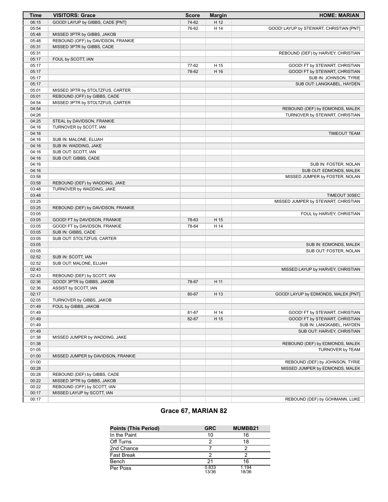| <b>Time</b>    | <b>VISITORS: Grace</b>                                      | <b>Score</b> | <b>Margin</b> | <b>HOME: MARIAN</b>                     |
|----------------|-------------------------------------------------------------|--------------|---------------|-----------------------------------------|
| 06:15          | GOOD! LAYUP by GIBBS, CADE [PNT]                            | 74-62        | H 12          |                                         |
| 05:54          |                                                             | 76-62        | H 14          | GOOD! LAYUP by STEWART, CHRISTIAN [PNT] |
| 05:48          | MISSED 3PTR by GIBBS, JAKOB                                 |              |               |                                         |
| 05:48          | REBOUND (OFF) by DAVIDSON, FRANKIE                          |              |               |                                         |
| 05:31          | MISSED 3PTR by GIBBS, CADE                                  |              |               |                                         |
| 05:31          |                                                             |              |               | REBOUND (DEF) by HARVEY, CHRISTIAN      |
| 05:17          | FOUL by SCOTT, IAN                                          |              |               |                                         |
| 05:17          |                                                             | 77-62        | H 15          | GOOD! FT by STEWART, CHRISTIAN          |
| 05:17          |                                                             | 78-62        | H 16          | GOOD! FT by STEWART, CHRISTIAN          |
| 05:17          |                                                             |              |               | SUB IN: JOHNSON, TYRIE                  |
| 05:17          |                                                             |              |               | SUB OUT: LANGKABEL, HAYDEN              |
| 05:01          | MISSED 3PTR by STOLTZFUS, CARTER                            |              |               |                                         |
| 05:01          | REBOUND (OFF) by GIBBS, CADE                                |              |               |                                         |
| 04:54          | MISSED 3PTR by STOLTZFUS, CARTER                            |              |               |                                         |
| 04:54          |                                                             |              |               | REBOUND (DEF) by EDMONDS, MALEK         |
| 04:26          |                                                             |              |               | TURNOVER by STEWART, CHRISTIAN          |
| 04:25          | STEAL by DAVIDSON, FRANKIE                                  |              |               |                                         |
| 04:16          | TURNOVER by SCOTT, IAN                                      |              |               |                                         |
| 04:16          |                                                             |              |               | <b>TIMEOUT TEAM</b>                     |
| 04:16          | SUB IN: MALONE, ELIJAH                                      |              |               |                                         |
| 04:16          | SUB IN: WADDING, JAKE                                       |              |               |                                         |
| 04:16          | SUB OUT: SCOTT, IAN                                         |              |               |                                         |
| 04:16          | SUB OUT: GIBBS, CADE                                        |              |               |                                         |
| 04:16          |                                                             |              |               | SUB IN: FOSTER, NOLAN                   |
| 04:16          |                                                             |              |               | SUB OUT: EDMONDS, MALEK                 |
| 03:58          |                                                             |              |               | MISSED JUMPER by FOSTER, NOLAN          |
| 03:58<br>03:48 | REBOUND (DEF) by WADDING, JAKE<br>TURNOVER by WADDING, JAKE |              |               |                                         |
| 03:48          |                                                             |              |               | <b>TIMEOUT 30SEC</b>                    |
| 03:25          |                                                             |              |               | MISSED JUMPER by STEWART, CHRISTIAN     |
| 03:25          | REBOUND (DEF) by DAVIDSON, FRANKIE                          |              |               |                                         |
| 03:05          |                                                             |              |               | FOUL by HARVEY, CHRISTIAN               |
| 03:05          | GOOD! FT by DAVIDSON, FRANKIE                               | 78-63        | H 15          |                                         |
| 03:05          | GOOD! FT by DAVIDSON, FRANKIE                               | 78-64        | H 14          |                                         |
| 03:05          | SUB IN: GIBBS, CADE                                         |              |               |                                         |
| 03:05          | SUB OUT: STOLTZFUS, CARTER                                  |              |               |                                         |
| 03:05          |                                                             |              |               | SUB IN: EDMONDS, MALEK                  |
| 03:05          |                                                             |              |               | SUB OUT: FOSTER, NOLAN                  |
| 02:52          | SUB IN: SCOTT, IAN                                          |              |               |                                         |
| 02:52          | SUB OUT: MALONE, ELIJAH                                     |              |               |                                         |
| 02:43          |                                                             |              |               | MISSED LAYUP by HARVEY, CHRISTIAN       |
| 02:43          | REBOUND (DEF) by SCOTT, IAN                                 |              |               |                                         |
| 02:36          | GOOD! 3PTR by GIBBS, JAKOB                                  | 78-67        | H 11          |                                         |
| 02:36          | ASSIST by SCOTT, IAN                                        |              |               |                                         |
| 02:17          |                                                             | 80-67        | H 13          | GOOD! LAYUP by EDMONDS, MALEK [PNT]     |
| 02:05          | TURNOVER by GIBBS, JAKOB                                    |              |               |                                         |
| 01:49          | FOUL by GIBBS, JAKOB                                        |              |               |                                         |
| 01:49          |                                                             | 81-67        | H 14          | GOOD! FT by STEWART, CHRISTIAN          |
| 01:49          |                                                             | 82-67        | H 15          | GOOD! FT by STEWART, CHRISTIAN          |
| 01:49          |                                                             |              |               | SUB IN: LANGKABEL, HAYDEN               |
| 01:49          |                                                             |              |               | SUB OUT: HARVEY, CHRISTIAN              |
| 01:38          | MISSED JUMPER by WADDING, JAKE                              |              |               |                                         |
| 01:38          |                                                             |              |               | REBOUND (DEF) by EDMONDS, MALEK         |
| 01:05          |                                                             |              |               | TURNOVER by TEAM                        |
| 01:00          | MISSED JUMPER by DAVIDSON, FRANKIE                          |              |               |                                         |
| 01:00          |                                                             |              |               | REBOUND (DEF) by JOHNSON, TYRIE         |
| 00:28          |                                                             |              |               | MISSED JUMPER by EDMONDS, MALEK         |
| 00:28          | REBOUND (DEF) by GIBBS, CADE                                |              |               |                                         |
| 00:22          | MISSED 3PTR by GIBBS, JAKOB                                 |              |               |                                         |
| 00:22          | REBOUND (OFF) by SCOTT, IAN                                 |              |               |                                         |
| 00:17          | MISSED LAYUP by SCOTT, IAN                                  |              |               |                                         |
| 00:17          |                                                             |              |               | REBOUND (DEF) by GOHMANN, LUKE          |

## **Grace 67, MARIAN 82**

| <b>Points (This Period)</b> | <b>GRC</b>     | MUMBB21        |
|-----------------------------|----------------|----------------|
| In the Paint                | 10             | 16             |
| Off Turns                   | っ              | 18             |
| 2nd Chance                  |                | ◠              |
| Fast Break                  | っ              |                |
| Bench                       | 21             | 16             |
| Per Poss                    | 0.833<br>13/36 | 1.194<br>18/36 |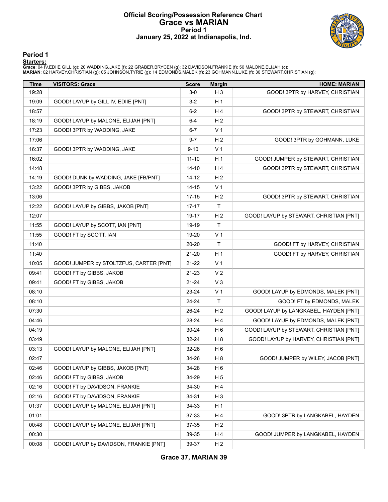### **Official Scoring/Possession Reference Chart Grace vs MARIAN Period 1 January 25, 2022 at Indianapolis, Ind.**



**Period 1**

<mark>Startersː</mark><br>Grace: 04 IV,EDIIE GILL (g); 20 WADDING,JAKE (f); 22 GRABER,BRYCEN (g); 32 DAVIDSON,FRANKIE (f); 50 MALONE,ELIJAH (c);<br>**MARIAN**: 02 HARVEY,CHRISTIAN (g); 05 JOHNSON,TYRIE (g); 14 EDMONDS,MALEK (f); 23 GOHMANN,L

| Time  | <b>VISITORS: Grace</b>                  | <b>Score</b> | <b>Margin</b>  | <b>HOME: MARIAN</b>                     |
|-------|-----------------------------------------|--------------|----------------|-----------------------------------------|
| 19:28 |                                         | $3-0$        | $H_3$          | GOOD! 3PTR by HARVEY, CHRISTIAN         |
| 19:09 | GOOD! LAYUP by GILL IV, EDIIE [PNT]     | $3 - 2$      | H <sub>1</sub> |                                         |
| 18:57 |                                         | $6 - 2$      | H4             | GOOD! 3PTR by STEWART, CHRISTIAN        |
| 18:19 | GOOD! LAYUP by MALONE, ELIJAH [PNT]     | $6-4$        | H <sub>2</sub> |                                         |
| 17:23 | GOOD! 3PTR by WADDING, JAKE             | $6-7$        | V <sub>1</sub> |                                         |
| 17:06 |                                         | $9 - 7$      | H <sub>2</sub> | GOOD! 3PTR by GOHMANN, LUKE             |
| 16:37 | GOOD! 3PTR by WADDING, JAKE             | $9 - 10$     | V <sub>1</sub> |                                         |
| 16:02 |                                         | $11 - 10$    | H <sub>1</sub> | GOOD! JUMPER by STEWART, CHRISTIAN      |
| 14:48 |                                         | $14 - 10$    | H4             | GOOD! 3PTR by STEWART, CHRISTIAN        |
| 14:19 | GOOD! DUNK by WADDING, JAKE [FB/PNT]    | 14-12        | H <sub>2</sub> |                                         |
| 13:22 | GOOD! 3PTR by GIBBS, JAKOB              | $14 - 15$    | V <sub>1</sub> |                                         |
| 13:06 |                                         | $17 - 15$    | H <sub>2</sub> | GOOD! 3PTR by STEWART, CHRISTIAN        |
| 12:22 | GOOD! LAYUP by GIBBS, JAKOB [PNT]       | $17 - 17$    | $\mathsf T$    |                                         |
| 12:07 |                                         | 19-17        | H <sub>2</sub> | GOOD! LAYUP by STEWART, CHRISTIAN [PNT] |
| 11:55 | GOOD! LAYUP by SCOTT, IAN [PNT]         | 19-19        | $\top$         |                                         |
| 11:55 | GOOD! FT by SCOTT, IAN                  | 19-20        | V <sub>1</sub> |                                         |
| 11:40 |                                         | 20-20        | $\mathsf{T}$   | GOOD! FT by HARVEY, CHRISTIAN           |
| 11:40 |                                         | 21-20        | H <sub>1</sub> | GOOD! FT by HARVEY, CHRISTIAN           |
| 10:05 | GOOD! JUMPER by STOLTZFUS, CARTER [PNT] | 21-22        | V <sub>1</sub> |                                         |
| 09:41 | GOOD! FT by GIBBS, JAKOB                | 21-23        | V <sub>2</sub> |                                         |
| 09:41 | GOOD! FT by GIBBS, JAKOB                | 21-24        | V <sub>3</sub> |                                         |
| 08:10 |                                         | 23-24        | V <sub>1</sub> | GOOD! LAYUP by EDMONDS, MALEK [PNT]     |
| 08:10 |                                         | 24-24        | $\mathsf{T}$   | GOOD! FT by EDMONDS, MALEK              |
| 07:30 |                                         | 26-24        | H <sub>2</sub> | GOOD! LAYUP by LANGKABEL, HAYDEN [PNT]  |
| 04:46 |                                         | 28-24        | H 4            | GOOD! LAYUP by EDMONDS, MALEK [PNT]     |
| 04:19 |                                         | 30-24        | H <sub>6</sub> | GOOD! LAYUP by STEWART, CHRISTIAN [PNT] |
| 03:49 |                                         | 32-24        | H <sub>8</sub> | GOOD! LAYUP by HARVEY, CHRISTIAN [PNT]  |
| 03:13 | GOOD! LAYUP by MALONE, ELIJAH [PNT]     | 32-26        | H <sub>6</sub> |                                         |
| 02:47 |                                         | 34-26        | H <sub>8</sub> | GOOD! JUMPER by WILEY, JACOB [PNT]      |
| 02:46 | GOOD! LAYUP by GIBBS, JAKOB [PNT]       | 34-28        | H <sub>6</sub> |                                         |
| 02:46 | GOOD! FT by GIBBS, JAKOB                | 34-29        | H <sub>5</sub> |                                         |
| 02:16 | GOOD! FT by DAVIDSON, FRANKIE           | 34-30        | H 4            |                                         |
| 02:16 | GOOD! FT by DAVIDSON, FRANKIE           | 34-31        | $H_3$          |                                         |
| 01:37 | GOOD! LAYUP by MALONE, ELIJAH [PNT]     | 34-33        | H <sub>1</sub> |                                         |
| 01:01 |                                         | 37-33        | H 4            | GOOD! 3PTR by LANGKABEL, HAYDEN         |
| 00:48 | GOOD! LAYUP by MALONE, ELIJAH [PNT]     | 37-35        | H <sub>2</sub> |                                         |
| 00:30 |                                         | 39-35        | H 4            | GOOD! JUMPER by LANGKABEL, HAYDEN       |
| 00:08 | GOOD! LAYUP by DAVIDSON, FRANKIE [PNT]  | 39-37        | H <sub>2</sub> |                                         |

**Grace 37, MARIAN 39**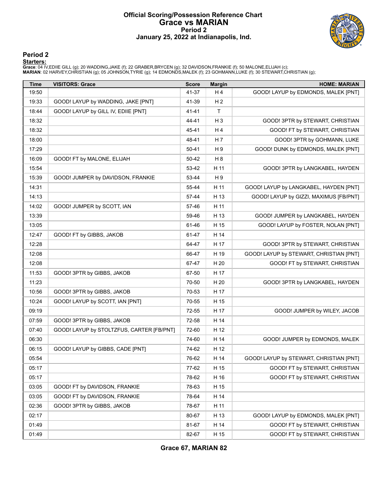#### **Official Scoring/Possession Reference Chart Grace vs MARIAN Period 2 January 25, 2022 at Indianapolis, Ind.**



**Period 2**

<mark>Startersː</mark><br>Grace: 04 IV,EDIIE GILL (g); 20 WADDING,JAKE (f); 22 GRABER,BRYCEN (g); 32 DAVIDSON,FRANKIE (f); 50 MALONE,ELIJAH (c);<br>**MARIAN**: 02 HARVEY,CHRISTIAN (g); 05 JOHNSON,TYRIE (g); 14 EDMONDS,MALEK (f); 23 GOHMANN,L

| <b>Time</b> | <b>VISITORS: Grace</b>                    | <b>Score</b> | <b>Margin</b>  | <b>HOME: MARIAN</b>                     |
|-------------|-------------------------------------------|--------------|----------------|-----------------------------------------|
| 19:50       |                                           | 41-37        | H4             | GOOD! LAYUP by EDMONDS, MALEK [PNT]     |
| 19:33       | GOOD! LAYUP by WADDING, JAKE [PNT]        | 41-39        | H <sub>2</sub> |                                         |
| 18:44       | GOOD! LAYUP by GILL IV, EDIIE [PNT]       | 41-41        | $\mathsf{T}$   |                                         |
| 18:32       |                                           | 44-41        | H <sub>3</sub> | GOOD! 3PTR by STEWART, CHRISTIAN        |
| 18:32       |                                           | 45-41        | H4             | GOOD! FT by STEWART, CHRISTIAN          |
| 18:00       |                                           | 48-41        | H 7            | GOOD! 3PTR by GOHMANN, LUKE             |
| 17:29       |                                           | 50-41        | H <sub>9</sub> | GOOD! DUNK by EDMONDS, MALEK [PNT]      |
| 16:09       | GOOD! FT by MALONE, ELIJAH                | 50-42        | H <sub>8</sub> |                                         |
| 15:54       |                                           | 53-42        | H 11           | GOOD! 3PTR by LANGKABEL, HAYDEN         |
| 15:39       | GOOD! JUMPER by DAVIDSON, FRANKIE         | 53-44        | H9             |                                         |
| 14:31       |                                           | 55-44        | H 11           | GOOD! LAYUP by LANGKABEL, HAYDEN [PNT]  |
| 14:13       |                                           | 57-44        | H 13           | GOOD! LAYUP by GIZZI, MAXIMUS [FB/PNT]  |
| 14:02       | GOOD! JUMPER by SCOTT, IAN                | 57-46        | H 11           |                                         |
| 13:39       |                                           | 59-46        | H 13           | GOOD! JUMPER by LANGKABEL, HAYDEN       |
| 13:05       |                                           | 61-46        | H 15           | GOOD! LAYUP by FOSTER, NOLAN [PNT]      |
| 12:47       | GOOD! FT by GIBBS, JAKOB                  | 61-47        | H 14           |                                         |
| 12:28       |                                           | 64-47        | H 17           | GOOD! 3PTR by STEWART, CHRISTIAN        |
| 12:08       |                                           | 66-47        | H 19           | GOOD! LAYUP by STEWART, CHRISTIAN [PNT] |
| 12:08       |                                           | 67-47        | H 20           | GOOD! FT by STEWART, CHRISTIAN          |
| 11:53       | GOOD! 3PTR by GIBBS, JAKOB                | 67-50        | H 17           |                                         |
| 11:23       |                                           | 70-50        | H 20           | GOOD! 3PTR by LANGKABEL, HAYDEN         |
| 10:56       | GOOD! 3PTR by GIBBS, JAKOB                | 70-53        | H 17           |                                         |
| 10:24       | GOOD! LAYUP by SCOTT, IAN [PNT]           | 70-55        | H 15           |                                         |
| 09:19       |                                           | 72-55        | H 17           | GOOD! JUMPER by WILEY, JACOB            |
| 07:59       | GOOD! 3PTR by GIBBS, JAKOB                | 72-58        | H 14           |                                         |
| 07:40       | GOOD! LAYUP by STOLTZFUS, CARTER [FB/PNT] | 72-60        | H 12           |                                         |
| 06:30       |                                           | 74-60        | H 14           | GOOD! JUMPER by EDMONDS, MALEK          |
| 06:15       | GOOD! LAYUP by GIBBS, CADE [PNT]          | 74-62        | H 12           |                                         |
| 05:54       |                                           | 76-62        | H 14           | GOOD! LAYUP by STEWART, CHRISTIAN [PNT] |
| 05:17       |                                           | 77-62        | H 15           | GOOD! FT by STEWART, CHRISTIAN          |
| 05:17       |                                           | 78-62        | H 16           | GOOD! FT by STEWART, CHRISTIAN          |
| 03:05       | GOOD! FT by DAVIDSON, FRANKIE             | 78-63        | H 15           |                                         |
| 03:05       | GOOD! FT by DAVIDSON, FRANKIE             | 78-64        | H 14           |                                         |
| 02:36       | GOOD! 3PTR by GIBBS, JAKOB                | 78-67        | H 11           |                                         |
| 02:17       |                                           | 80-67        | H 13           | GOOD! LAYUP by EDMONDS, MALEK [PNT]     |
| 01:49       |                                           | 81-67        | H 14           | GOOD! FT by STEWART, CHRISTIAN          |
| 01:49       |                                           | 82-67        | H 15           | GOOD! FT by STEWART, CHRISTIAN          |

**Grace 67, MARIAN 82**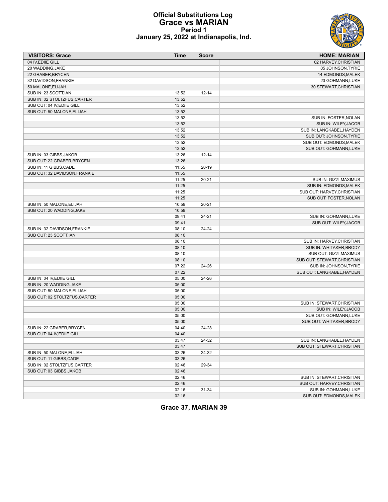

#### **Official Substitutions Log Grace vs MARIAN Period 1 January 25, 2022 at Indianapolis, Ind.**

| <b>VISITORS: Grace</b>        | <b>Time</b> | <b>Score</b> | <b>HOME: MARIAN</b>         |
|-------------------------------|-------------|--------------|-----------------------------|
| 04 IV, EDIIE GILL             |             |              | 02 HARVEY, CHRISTIAN        |
| 20 WADDING, JAKE              |             |              | 05 JOHNSON, TYRIE           |
| 22 GRABER, BRYCEN             |             |              | 14 EDMONDS, MALEK           |
| 32 DAVIDSON, FRANKIE          |             |              | 23 GOHMANN, LUKE            |
| 50 MALONE, ELIJAH             |             |              | 30 STEWART, CHRISTIAN       |
| SUB IN: 23 SCOTT, IAN         | 13:52       | $12 - 14$    |                             |
| SUB IN: 02 STOLTZFUS, CARTER  | 13:52       |              |                             |
| SUB OUT: 04 IV, EDIIE GILL    | 13:52       |              |                             |
| SUB OUT: 50 MALONE, ELIJAH    | 13:52       |              |                             |
|                               | 13:52       |              | SUB IN: FOSTER, NOLAN       |
|                               | 13:52       |              | SUB IN: WILEY, JACOB        |
|                               | 13:52       |              | SUB IN: LANGKABEL, HAYDEN   |
|                               | 13:52       |              | SUB OUT: JOHNSON, TYRIE     |
|                               | 13:52       |              | SUB OUT: EDMONDS, MALEK     |
|                               | 13:52       |              | SUB OUT: GOHMANN, LUKE      |
| SUB IN: 03 GIBBS, JAKOB       | 13:26       | $12 - 14$    |                             |
| SUB OUT: 22 GRABER, BRYCEN    | 13:26       |              |                             |
| SUB IN: 11 GIBBS, CADE        | 11:55       | $20-19$      |                             |
| SUB OUT: 32 DAVIDSON, FRANKIE | 11:55       |              |                             |
|                               | 11:25       | $20 - 21$    | SUB IN: GIZZI, MAXIMUS      |
|                               | 11:25       |              | SUB IN: EDMONDS, MALEK      |
|                               | 11:25       |              | SUB OUT: HARVEY, CHRISTIAN  |
|                               | 11:25       |              | SUB OUT: FOSTER, NOLAN      |
| SUB IN: 50 MALONE, ELIJAH     | 10:59       | $20 - 21$    |                             |
| SUB OUT: 20 WADDING, JAKE     | 10:59       |              |                             |
|                               | 09:41       | $24 - 21$    | SUB IN: GOHMANN, LUKE       |
|                               | 09:41       |              | SUB OUT: WILEY, JACOB       |
| SUB IN: 32 DAVIDSON.FRANKIE   | 08:10       | $24 - 24$    |                             |
| SUB OUT: 23 SCOTT, IAN        | 08:10       |              |                             |
|                               | 08:10       |              | SUB IN: HARVEY, CHRISTIAN   |
|                               | 08:10       |              | SUB IN: WHITAKER, BRODY     |
|                               | 08:10       |              | SUB OUT: GIZZI, MAXIMUS     |
|                               | 08:10       |              | SUB OUT: STEWART, CHRISTIAN |
|                               | 07:22       | 24-26        | SUB IN: JOHNSON, TYRIE      |
|                               | 07:22       |              | SUB OUT: LANGKABEL, HAYDEN  |
| SUB IN: 04 IV, EDIIE GILL     | 05:00       | 24-26        |                             |
| SUB IN: 20 WADDING, JAKE      | 05:00       |              |                             |
| SUB OUT: 50 MALONE, ELIJAH    | 05:00       |              |                             |
| SUB OUT: 02 STOLTZFUS, CARTER | 05:00       |              |                             |
|                               | 05:00       |              | SUB IN: STEWART, CHRISTIAN  |
|                               | 05:00       |              | SUB IN: WILEY, JACOB        |
|                               | 05:00       |              | SUB OUT: GOHMANN, LUKE      |
|                               | 05:00       |              | SUB OUT: WHITAKER, BRODY    |
| SUB IN: 22 GRABER, BRYCEN     | 04:40       | 24-28        |                             |
| SUB OUT: 04 IV, EDIIE GILL    | 04:40       |              |                             |
|                               | 03:47       | 24-32        | SUB IN: LANGKABEL, HAYDEN   |
|                               | 03:47       |              | SUB OUT: STEWART, CHRISTIAN |
| SUB IN: 50 MALONE, ELIJAH     | 03:26       | 24-32        |                             |
| SUB OUT: 11 GIBBS, CADE       | 03:26       |              |                             |
| SUB IN: 02 STOLTZFUS, CARTER  | 02:46       | 29-34        |                             |
| SUB OUT: 03 GIBBS, JAKOB      | 02:46       |              |                             |
|                               | 02:46       |              | SUB IN: STEWART, CHRISTIAN  |
|                               | 02:46       |              | SUB OUT: HARVEY, CHRISTIAN  |
|                               | 02:16       | 31-34        | SUB IN: GOHMANN, LUKE       |
|                               | 02:16       |              | SUB OUT: EDMONDS, MALEK     |

**Grace 37, MARIAN 39**